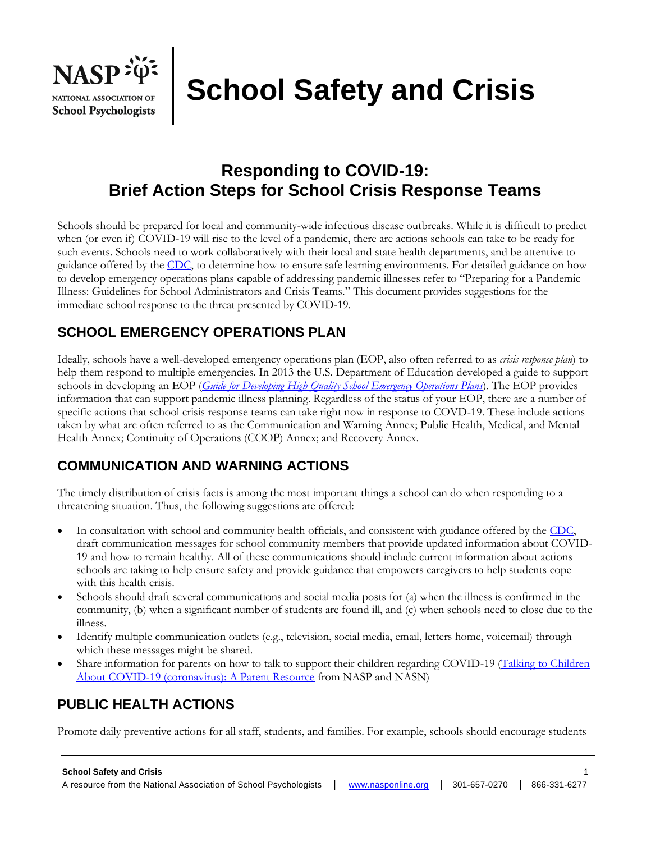

# **School Safety and Crisis**

## **Responding to COVID-19: Brief Action Steps for School Crisis Response Teams**

Schools should be prepared for local and community-wide infectious disease outbreaks. While it is difficult to predict when (or even if) COVID-19 will rise to the level of a pandemic, there are actions schools can take to be ready for such events. Schools need to work collaboratively with their local and state health departments, and be attentive to guidance offered by the [CDC,](https://www.cdc.gov/coronavirus/2019-ncov/specific-groups/guidance-for-schools.html) to determine how to ensure safe learning environments. For detailed guidance on how to develop emergency operations plans capable of addressing pandemic illnesses refer to "Preparing for a Pandemic Illness: Guidelines for School Administrators and Crisis Teams." This document provides suggestions for the immediate school response to the threat presented by COVID-19.

## **SCHOOL EMERGENCY OPERATIONS PLAN**

Ideally, schools have a well-developed emergency operations plan (EOP, also often referred to as *crisis response plan*) to help them respond to multiple emergencies. In 2013 the U.S. Department of Education developed a guide to support schools in developing an EOP (*[Guide for Developing High Quality School Emergency Operations Plans](https://rems.ed.gov/docs/REMS_K-12_Guide_508.pdf)*). The EOP provides information that can support pandemic illness planning. Regardless of the status of your EOP, there are a number of specific actions that school crisis response teams can take right now in response to COVD-19. These include actions taken by what are often referred to as the Communication and Warning Annex; Public Health, Medical, and Mental Health Annex; Continuity of Operations (COOP) Annex; and Recovery Annex.

## **COMMUNICATION AND WARNING ACTIONS**

The timely distribution of crisis facts is among the most important things a school can do when responding to a threatening situation. Thus, the following suggestions are offered:

- In consultation with school and community health officials, and consistent with guidance offered by the [CDC,](https://www.cdc.gov/coronavirus/2019-ncov/specific-groups/guidance-for-schools.html) draft communication messages for school community members that provide updated information about COVID-19 and how to remain healthy. All of these communications should include current information about actions schools are taking to help ensure safety and provide guidance that empowers caregivers to help students cope with this health crisis.
- Schools should draft several communications and social media posts for (a) when the illness is confirmed in the community, (b) when a significant number of students are found ill, and (c) when schools need to close due to the illness.
- Identify multiple communication outlets (e.g., television, social media, email, letters home, voicemail) through which these messages might be shared.
- Share information for parents on how to talk to support their children regarding COVID-19 (Talking to Children [About COVID-19 \(coronavirus\): A Parent Resource](http://www.nasponline.org/x54786.xml) from NASP and NASN)

## **PUBLIC HEALTH ACTIONS**

Promote daily preventive actions for all staff, students, and families. For example, schools should encourage students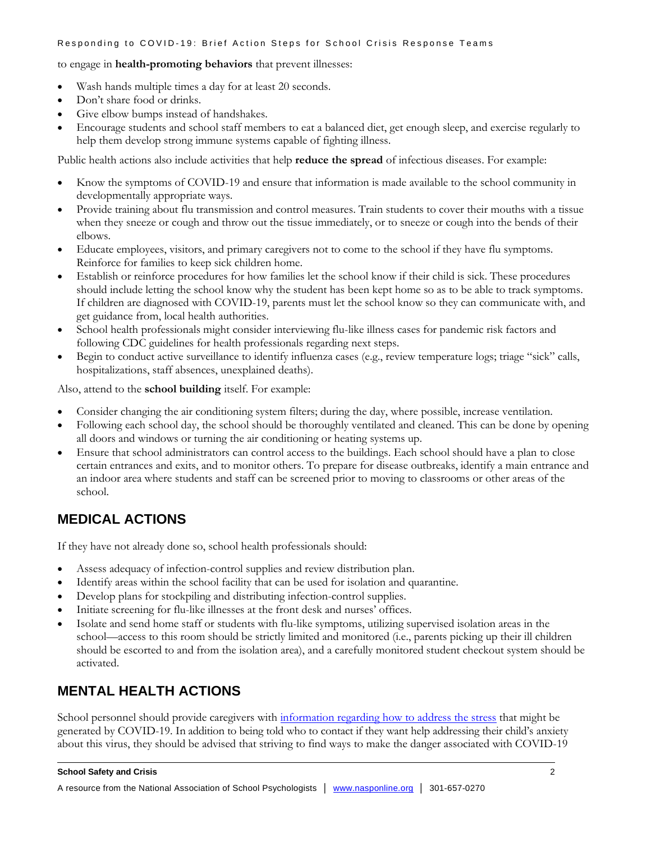to engage in **health-promoting behaviors** that prevent illnesses:

- Wash hands multiple times a day for at least 20 seconds.
- Don't share food or drinks.
- Give elbow bumps instead of handshakes.
- Encourage students and school staff members to eat a balanced diet, get enough sleep, and exercise regularly to help them develop strong immune systems capable of fighting illness.

Public health actions also include activities that help **reduce the spread** of infectious diseases. For example:

- Know the symptoms of COVID-19 and ensure that information is made available to the school community in developmentally appropriate ways.
- Provide training about flu transmission and control measures. Train students to cover their mouths with a tissue when they sneeze or cough and throw out the tissue immediately, or to sneeze or cough into the bends of their elbows.
- Educate employees, visitors, and primary caregivers not to come to the school if they have flu symptoms. Reinforce for families to keep sick children home.
- Establish or reinforce procedures for how families let the school know if their child is sick. These procedures should include letting the school know why the student has been kept home so as to be able to track symptoms. If children are diagnosed with COVID-19, parents must let the school know so they can communicate with, and get guidance from, local health authorities.
- School health professionals might consider interviewing flu-like illness cases for pandemic risk factors and following CDC guidelines for health professionals regarding next steps.
- Begin to conduct active surveillance to identify influenza cases (e.g., review temperature logs; triage "sick" calls, hospitalizations, staff absences, unexplained deaths).

Also, attend to the **school building** itself. For example:

- Consider changing the air conditioning system filters; during the day, where possible, increase ventilation.
- Following each school day, the school should be thoroughly ventilated and cleaned. This can be done by opening all doors and windows or turning the air conditioning or heating systems up.
- Ensure that school administrators can control access to the buildings. Each school should have a plan to close certain entrances and exits, and to monitor others. To prepare for disease outbreaks, identify a main entrance and an indoor area where students and staff can be screened prior to moving to classrooms or other areas of the school.

## **MEDICAL ACTIONS**

If they have not already done so, school health professionals should:

- Assess adequacy of infection-control supplies and review distribution plan.
- Identify areas within the school facility that can be used for isolation and quarantine.
- Develop plans for stockpiling and distributing infection-control supplies.
- Initiate screening for flu-like illnesses at the front desk and nurses' offices.
- Isolate and send home staff or students with flu-like symptoms, utilizing supervised isolation areas in the school—access to this room should be strictly limited and monitored (i.e., parents picking up their ill children should be escorted to and from the isolation area), and a carefully monitored student checkout system should be activated.

## **MENTAL HEALTH ACTIONS**

School personnel should provide caregivers with [information regarding how to address the stress](http://www.nasponline.org/x54786.xml) that might be generated by COVID-19. In addition to being told who to contact if they want help addressing their child's anxiety about this virus, they should be advised that striving to find ways to make the danger associated with COVID-19

#### **School Safety and Crisis** 2